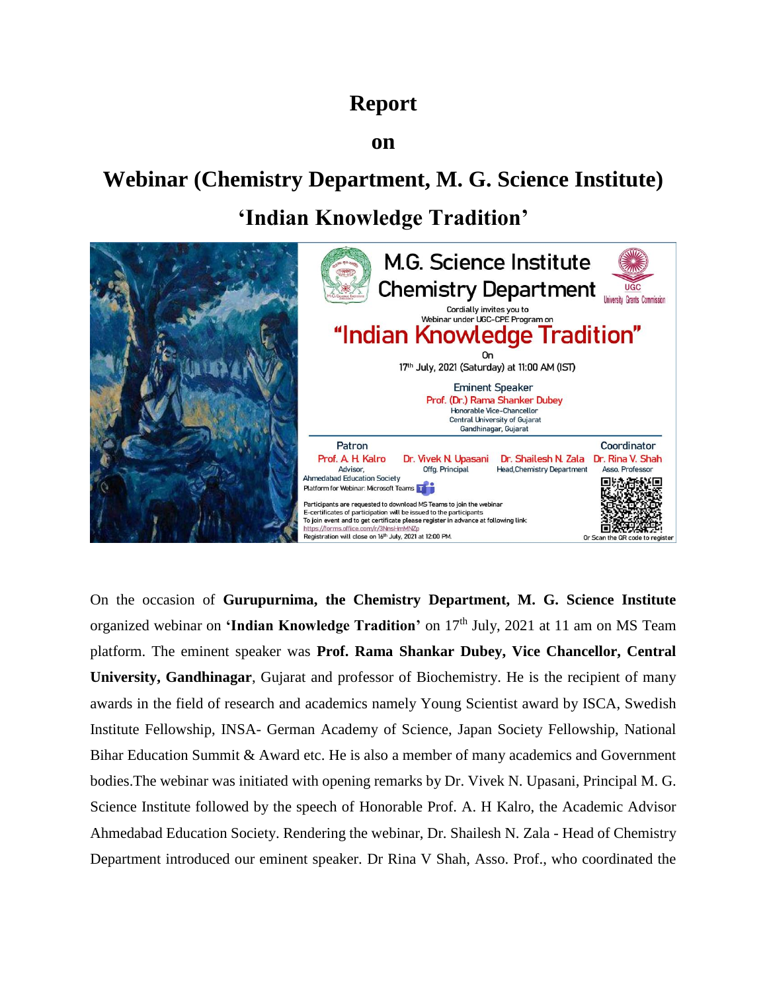## **Report**

#### **on**

# **Webinar (Chemistry Department, M. G. Science Institute) 'Indian Knowledge Tradition'**



On the occasion of **Gurupurnima, the Chemistry Department, M. G. Science Institute** organized webinar on **'Indian Knowledge Tradition'** on 17<sup>th</sup> July, 2021 at 11 am on MS Team platform. The eminent speaker was **Prof. Rama Shankar Dubey, Vice Chancellor, Central University, Gandhinagar**, Gujarat and professor of Biochemistry. He is the recipient of many awards in the field of research and academics namely Young Scientist award by ISCA, Swedish Institute Fellowship, INSA- German Academy of Science, Japan Society Fellowship, National Bihar Education Summit & Award etc. He is also a member of many academics and Government bodies.The webinar was initiated with opening remarks by Dr. Vivek N. Upasani, Principal M. G. Science Institute followed by the speech of Honorable Prof. A. H Kalro, the Academic Advisor Ahmedabad Education Society. Rendering the webinar, Dr. Shailesh N. Zala - Head of Chemistry Department introduced our eminent speaker. Dr Rina V Shah, Asso. Prof., who coordinated the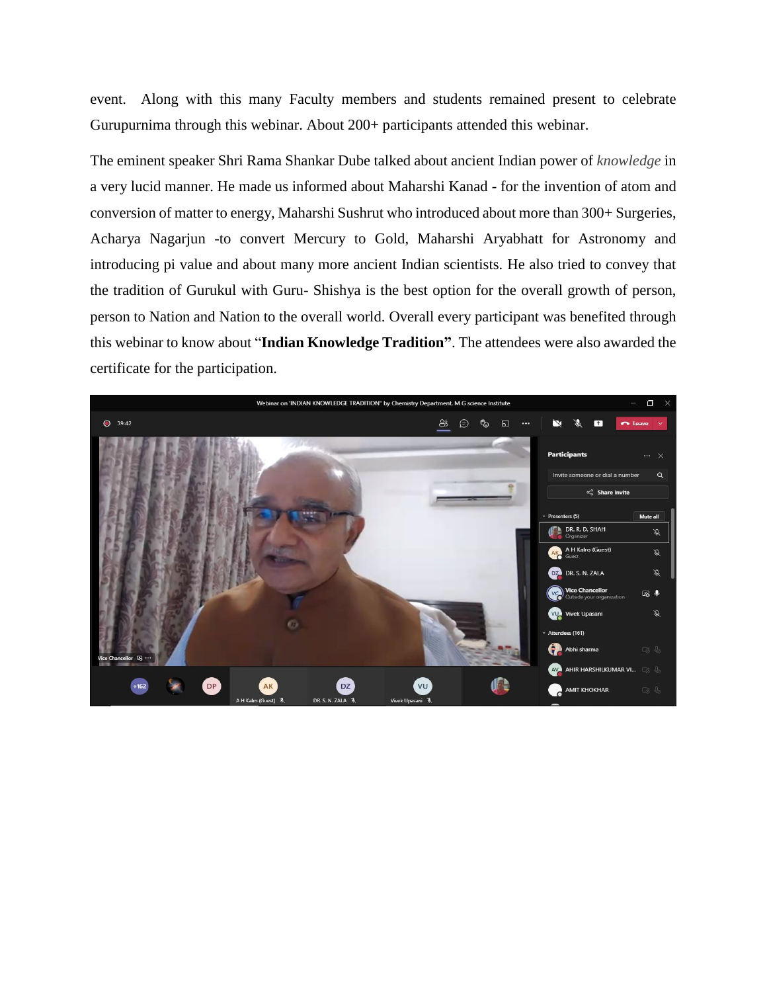event. Along with this many Faculty members and students remained present to celebrate Gurupurnima through this webinar. About 200+ participants attended this webinar.

The eminent speaker Shri Rama Shankar Dube talked about ancient Indian power of *knowledge* in a very lucid manner. He made us informed about Maharshi Kanad - for the invention of atom and conversion of matter to energy, Maharshi Sushrut who introduced about more than 300+ Surgeries, Acharya Nagarjun -to convert Mercury to Gold, Maharshi Aryabhatt for Astronomy and introducing pi value and about many more ancient Indian scientists. He also tried to convey that the tradition of Gurukul with Guru- Shishya is the best option for the overall growth of person, person to Nation and Nation to the overall world. Overall every participant was benefited through this webinar to know about "**Indian Knowledge Tradition"**. The attendees were also awarded the certificate for the participation.

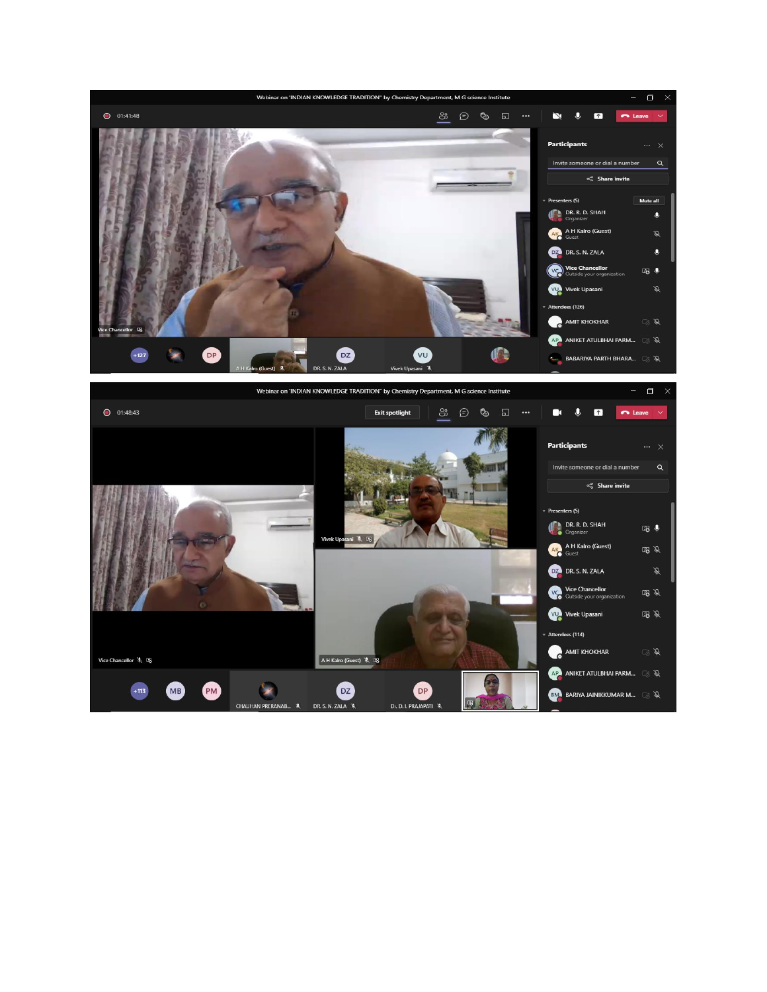